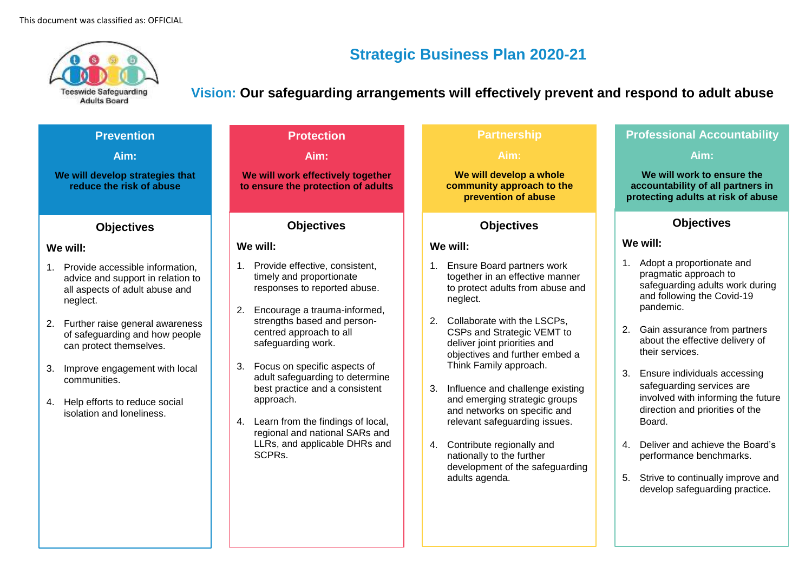

# **Strategic Business Plan 2020-21**

**Vision: Our safeguarding arrangements will effectively prevent and respond to adult abuse**

| <b>Prevention</b>                                                                                                                                                                                                                                                                                                                                   | <b>Protection</b>                                                                                                                                                                                                                                                                                                                                                                                                                                                      | <b>Partnership</b>                                                                                                                                                                                                                                                                                                                                                                                                                                                                                                                                               | <b>Professional Accountability</b>                                                                                                                                                                                                                                                                                                                                                                                                                                                                                         |
|-----------------------------------------------------------------------------------------------------------------------------------------------------------------------------------------------------------------------------------------------------------------------------------------------------------------------------------------------------|------------------------------------------------------------------------------------------------------------------------------------------------------------------------------------------------------------------------------------------------------------------------------------------------------------------------------------------------------------------------------------------------------------------------------------------------------------------------|------------------------------------------------------------------------------------------------------------------------------------------------------------------------------------------------------------------------------------------------------------------------------------------------------------------------------------------------------------------------------------------------------------------------------------------------------------------------------------------------------------------------------------------------------------------|----------------------------------------------------------------------------------------------------------------------------------------------------------------------------------------------------------------------------------------------------------------------------------------------------------------------------------------------------------------------------------------------------------------------------------------------------------------------------------------------------------------------------|
| Aim:                                                                                                                                                                                                                                                                                                                                                | Aim:                                                                                                                                                                                                                                                                                                                                                                                                                                                                   | Aim:                                                                                                                                                                                                                                                                                                                                                                                                                                                                                                                                                             | Aim:                                                                                                                                                                                                                                                                                                                                                                                                                                                                                                                       |
| We will develop strategies that<br>reduce the risk of abuse                                                                                                                                                                                                                                                                                         | We will work effectively together<br>to ensure the protection of adults                                                                                                                                                                                                                                                                                                                                                                                                | We will develop a whole<br>community approach to the<br>prevention of abuse                                                                                                                                                                                                                                                                                                                                                                                                                                                                                      | We will work to ensure the<br>accountability of all partners in<br>protecting adults at risk of abuse                                                                                                                                                                                                                                                                                                                                                                                                                      |
| <b>Objectives</b>                                                                                                                                                                                                                                                                                                                                   | <b>Objectives</b>                                                                                                                                                                                                                                                                                                                                                                                                                                                      | <b>Objectives</b>                                                                                                                                                                                                                                                                                                                                                                                                                                                                                                                                                | <b>Objectives</b>                                                                                                                                                                                                                                                                                                                                                                                                                                                                                                          |
| We will:                                                                                                                                                                                                                                                                                                                                            | We will:                                                                                                                                                                                                                                                                                                                                                                                                                                                               | We will:                                                                                                                                                                                                                                                                                                                                                                                                                                                                                                                                                         | We will:                                                                                                                                                                                                                                                                                                                                                                                                                                                                                                                   |
| Provide accessible information,<br>1.<br>advice and support in relation to<br>all aspects of adult abuse and<br>neglect.<br>2. Further raise general awareness<br>of safeguarding and how people<br>can protect themselves.<br>Improve engagement with local<br>3.<br>communities.<br>4. Help efforts to reduce social<br>isolation and loneliness. | Provide effective, consistent,<br>1.<br>timely and proportionate<br>responses to reported abuse.<br>Encourage a trauma-informed,<br>2.<br>strengths based and person-<br>centred approach to all<br>safeguarding work.<br>Focus on specific aspects of<br>3.<br>adult safeguarding to determine<br>best practice and a consistent<br>approach.<br>Learn from the findings of local,<br>4.<br>regional and national SARs and<br>LLRs, and applicable DHRs and<br>SCPRs. | <b>Ensure Board partners work</b><br>1 <sup>1</sup><br>together in an effective manner<br>to protect adults from abuse and<br>neglect.<br>2. Collaborate with the LSCPs,<br>CSPs and Strategic VEMT to<br>deliver joint priorities and<br>objectives and further embed a<br>Think Family approach.<br>Influence and challenge existing<br>3.<br>and emerging strategic groups<br>and networks on specific and<br>relevant safeguarding issues.<br>4. Contribute regionally and<br>nationally to the further<br>development of the safeguarding<br>adults agenda. | 1. Adopt a proportionate and<br>pragmatic approach to<br>safeguarding adults work during<br>and following the Covid-19<br>pandemic.<br>2. Gain assurance from partners<br>about the effective delivery of<br>their services.<br>3. Ensure individuals accessing<br>safeguarding services are<br>involved with informing the future<br>direction and priorities of the<br>Board.<br>4. Deliver and achieve the Board's<br>performance benchmarks.<br>5. Strive to continually improve and<br>develop safeguarding practice. |